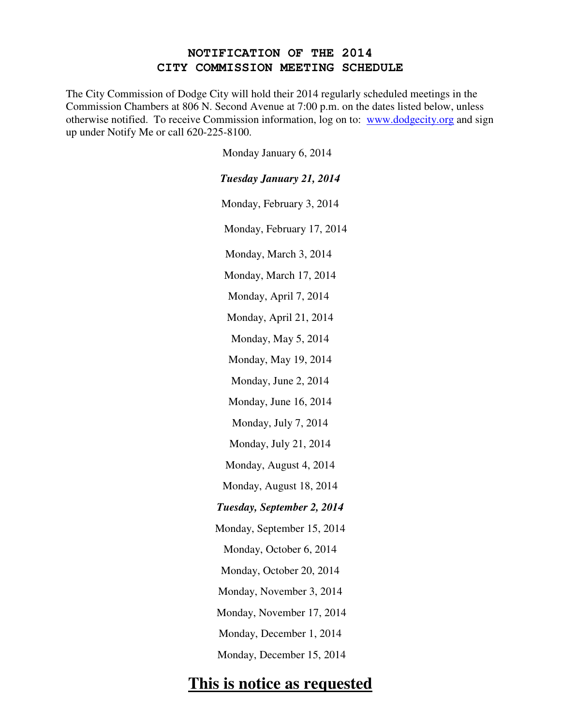## **NOTIFICATION OF THE 2014 CITY COMMISSION MEETING SCHEDULE**

The City Commission of Dodge City will hold their 2014 regularly scheduled meetings in the Commission Chambers at 806 N. Second Avenue at 7:00 p.m. on the dates listed below, unless otherwise notified. To receive Commission information, log on to: www.dodgecity.org and sign up under Notify Me or call 620-225-8100.

Monday January 6, 2014

| <b>Tuesday January 21, 2014</b> |
|---------------------------------|
| Monday, February 3, 2014        |
| Monday, February 17, 2014       |
| Monday, March 3, 2014           |
| Monday, March 17, 2014          |
| Monday, April 7, 2014           |
| Monday, April 21, 2014          |
| Monday, May 5, 2014             |
| Monday, May 19, 2014            |
| Monday, June 2, 2014            |
| Monday, June 16, 2014           |
| Monday, July 7, 2014            |
| Monday, July 21, 2014           |
| Monday, August 4, 2014          |
| Monday, August 18, 2014         |
| Tuesday, September 2, 2014      |
| Monday, September 15, 2014      |
| Monday, October 6, 2014         |
| Monday, October 20, 2014        |
| Monday, November 3, 2014        |
| Monday, November 17, 2014       |
| Monday, December 1, 2014        |
| Monday, December 15, 2014       |

## **This is notice as requested**